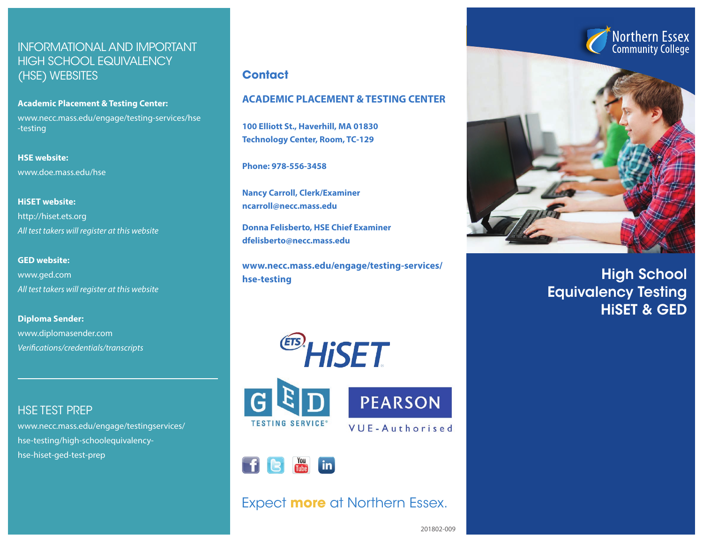## INFORMATIONAL AND IMPORTANT HIGH SCHOOL EQUIVALENCY (HSE) WEBSITES

**Academic Placement & Testing Center:** www.necc.mass.edu/engage/testing-services/hse -testing

**HSE website:** www.doe.mass.edu/hse

**HiSET website:** http://hiset.ets.org *All test takers will register at this website*

**GED website:** www.ged.com *All test takers will register at this website*

**Diploma Sender:** www.diplomasender.com *Verifications/credentials/transcripts*

HSE TEST PREP

www.necc.mass.edu/engage/testingservices/ hse-testing/high-schoolequivalencyhse-hiset-ged-test-prep

### **Contact**

### **ACADEMIC PLACEMENT & TESTING CENTER**

**100 Elliott St., Haverhill, MA 01830 Technology Center, Room, TC-129**

**Phone: 978-556-3458**

**Nancy Carroll, Clerk/Examiner ncarroll@necc.mass.edu**

**Donna Felisberto, HSE Chief Examiner dfelisberto@necc.mass.edu**

**www.necc.mass.edu/engage/testing-services/ hse-testing**







## Expect **more** at Northern Essex.



High School Equivalency Testing HiSET & GED